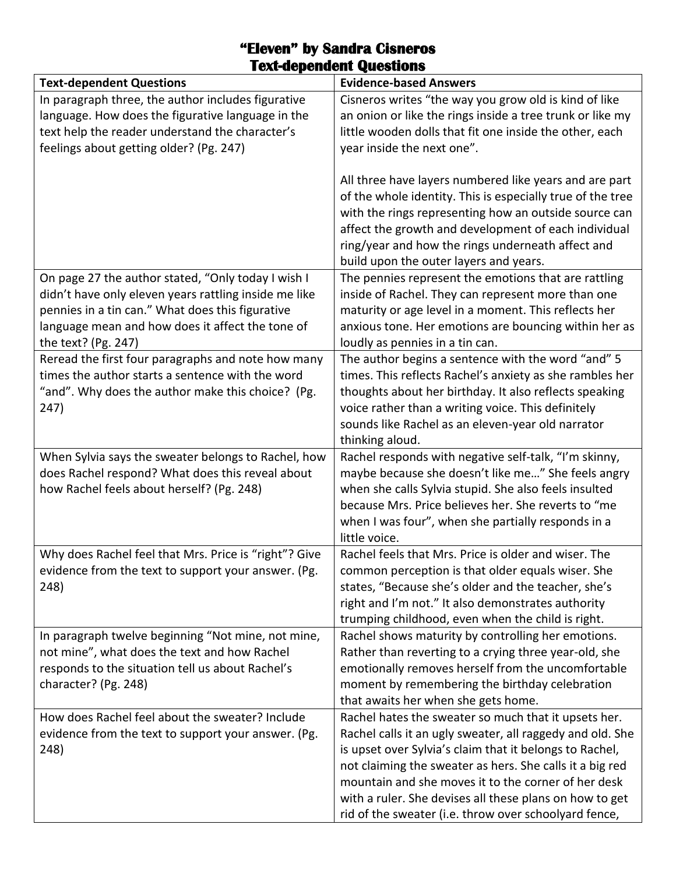| <b>Evidence-based Answers</b><br><b>Text-dependent Questions</b><br>Cisneros writes "the way you grow old is kind of like<br>In paragraph three, the author includes figurative<br>language. How does the figurative language in the<br>an onion or like the rings inside a tree trunk or like my<br>text help the reader understand the character's<br>little wooden dolls that fit one inside the other, each |  |
|-----------------------------------------------------------------------------------------------------------------------------------------------------------------------------------------------------------------------------------------------------------------------------------------------------------------------------------------------------------------------------------------------------------------|--|
|                                                                                                                                                                                                                                                                                                                                                                                                                 |  |
|                                                                                                                                                                                                                                                                                                                                                                                                                 |  |
|                                                                                                                                                                                                                                                                                                                                                                                                                 |  |
|                                                                                                                                                                                                                                                                                                                                                                                                                 |  |
| feelings about getting older? (Pg. 247)<br>year inside the next one".                                                                                                                                                                                                                                                                                                                                           |  |
|                                                                                                                                                                                                                                                                                                                                                                                                                 |  |
| All three have layers numbered like years and are part                                                                                                                                                                                                                                                                                                                                                          |  |
| of the whole identity. This is especially true of the tree                                                                                                                                                                                                                                                                                                                                                      |  |
| with the rings representing how an outside source can                                                                                                                                                                                                                                                                                                                                                           |  |
| affect the growth and development of each individual                                                                                                                                                                                                                                                                                                                                                            |  |
| ring/year and how the rings underneath affect and                                                                                                                                                                                                                                                                                                                                                               |  |
| build upon the outer layers and years.                                                                                                                                                                                                                                                                                                                                                                          |  |
| On page 27 the author stated, "Only today I wish I<br>The pennies represent the emotions that are rattling                                                                                                                                                                                                                                                                                                      |  |
| didn't have only eleven years rattling inside me like<br>inside of Rachel. They can represent more than one                                                                                                                                                                                                                                                                                                     |  |
| pennies in a tin can." What does this figurative<br>maturity or age level in a moment. This reflects her                                                                                                                                                                                                                                                                                                        |  |
| language mean and how does it affect the tone of<br>anxious tone. Her emotions are bouncing within her as                                                                                                                                                                                                                                                                                                       |  |
| the text? (Pg. 247)<br>loudly as pennies in a tin can.                                                                                                                                                                                                                                                                                                                                                          |  |
| Reread the first four paragraphs and note how many<br>The author begins a sentence with the word "and" 5                                                                                                                                                                                                                                                                                                        |  |
| times the author starts a sentence with the word<br>times. This reflects Rachel's anxiety as she rambles her                                                                                                                                                                                                                                                                                                    |  |
| "and". Why does the author make this choice? (Pg.<br>thoughts about her birthday. It also reflects speaking                                                                                                                                                                                                                                                                                                     |  |
| voice rather than a writing voice. This definitely<br>247)                                                                                                                                                                                                                                                                                                                                                      |  |
| sounds like Rachel as an eleven-year old narrator                                                                                                                                                                                                                                                                                                                                                               |  |
| thinking aloud.                                                                                                                                                                                                                                                                                                                                                                                                 |  |
| When Sylvia says the sweater belongs to Rachel, how<br>Rachel responds with negative self-talk, "I'm skinny,                                                                                                                                                                                                                                                                                                    |  |
| does Rachel respond? What does this reveal about<br>maybe because she doesn't like me" She feels angry                                                                                                                                                                                                                                                                                                          |  |
| how Rachel feels about herself? (Pg. 248)<br>when she calls Sylvia stupid. She also feels insulted                                                                                                                                                                                                                                                                                                              |  |
| because Mrs. Price believes her. She reverts to "me                                                                                                                                                                                                                                                                                                                                                             |  |
| when I was four", when she partially responds in a                                                                                                                                                                                                                                                                                                                                                              |  |
| little voice.                                                                                                                                                                                                                                                                                                                                                                                                   |  |
| Why does Rachel feel that Mrs. Price is "right"? Give<br>Rachel feels that Mrs. Price is older and wiser. The                                                                                                                                                                                                                                                                                                   |  |
| evidence from the text to support your answer. (Pg.<br>common perception is that older equals wiser. She                                                                                                                                                                                                                                                                                                        |  |
| states, "Because she's older and the teacher, she's<br>248)                                                                                                                                                                                                                                                                                                                                                     |  |
| right and I'm not." It also demonstrates authority                                                                                                                                                                                                                                                                                                                                                              |  |
| trumping childhood, even when the child is right.                                                                                                                                                                                                                                                                                                                                                               |  |
| In paragraph twelve beginning "Not mine, not mine,<br>Rachel shows maturity by controlling her emotions.                                                                                                                                                                                                                                                                                                        |  |
| not mine", what does the text and how Rachel<br>Rather than reverting to a crying three year-old, she                                                                                                                                                                                                                                                                                                           |  |
| responds to the situation tell us about Rachel's<br>emotionally removes herself from the uncomfortable                                                                                                                                                                                                                                                                                                          |  |
| character? (Pg. 248)<br>moment by remembering the birthday celebration<br>that awaits her when she gets home.                                                                                                                                                                                                                                                                                                   |  |
| How does Rachel feel about the sweater? Include<br>Rachel hates the sweater so much that it upsets her.                                                                                                                                                                                                                                                                                                         |  |
| Rachel calls it an ugly sweater, all raggedy and old. She<br>evidence from the text to support your answer. (Pg.                                                                                                                                                                                                                                                                                                |  |
|                                                                                                                                                                                                                                                                                                                                                                                                                 |  |
|                                                                                                                                                                                                                                                                                                                                                                                                                 |  |
| 248)<br>is upset over Sylvia's claim that it belongs to Rachel,                                                                                                                                                                                                                                                                                                                                                 |  |
| not claiming the sweater as hers. She calls it a big red                                                                                                                                                                                                                                                                                                                                                        |  |
| mountain and she moves it to the corner of her desk<br>with a ruler. She devises all these plans on how to get                                                                                                                                                                                                                                                                                                  |  |

## **"Eleven" by Sandra Cisneros Text-dependent Questions**